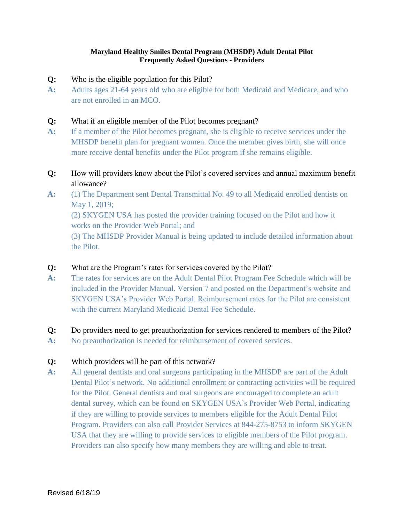#### **Maryland Healthy Smiles Dental Program (MHSDP) Adult Dental Pilot Frequently Asked Questions - Providers**

- **Q:** Who is the eligible population for this Pilot?
- **A:** Adults ages 21-64 years old who are eligible for both Medicaid and Medicare, and who are not enrolled in an MCO.

#### **Q:** What if an eligible member of the Pilot becomes pregnant?

- **A:** If a member of the Pilot becomes pregnant, she is eligible to receive services under the MHSDP benefit plan for pregnant women. Once the member gives birth, she will once more receive dental benefits under the Pilot program if she remains eligible.
- **Q:** How will providers know about the Pilot's covered services and annual maximum benefit allowance?
- **A:** (1) The Department sent Dental Transmittal No. 49 to all Medicaid enrolled dentists on May 1, 2019;

(2) SKYGEN USA has posted the provider training focused on the Pilot and how it works on the Provider Web Portal; and

(3) The MHSDP Provider Manual is being updated to include detailed information about the Pilot.

- **Q:** What are the Program's rates for services covered by the Pilot?
- **A:** The rates for services are on the Adult Dental Pilot Program Fee Schedule which will be included in the Provider Manual, Version 7 and posted on the Department's website and SKYGEN USA's Provider Web Portal. Reimbursement rates for the Pilot are consistent with the current Maryland Medicaid Dental Fee Schedule.
- **Q:** Do providers need to get preauthorization for services rendered to members of the Pilot?
- **A:** No preauthorization is needed for reimbursement of covered services.

#### **Q:** Which providers will be part of this network?

**A:** All general dentists and oral surgeons participating in the MHSDP are part of the Adult Dental Pilot's network. No additional enrollment or contracting activities will be required for the Pilot. General dentists and oral surgeons are encouraged to complete an adult dental survey, which can be found on SKYGEN USA's Provider Web Portal, indicating if they are willing to provide services to members eligible for the Adult Dental Pilot Program. Providers can also call Provider Services at 844-275-8753 to inform SKYGEN USA that they are willing to provide services to eligible members of the Pilot program. Providers can also specify how many members they are willing and able to treat.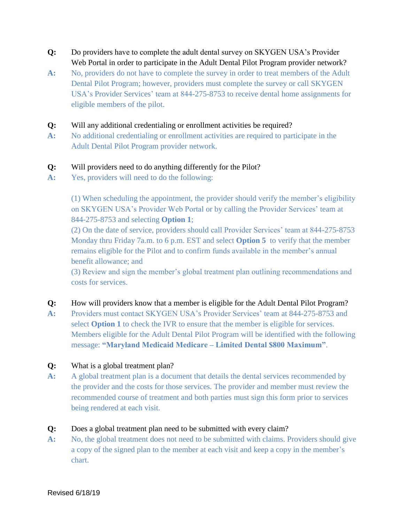- **Q:** Do providers have to complete the adult dental survey on SKYGEN USA's Provider Web Portal in order to participate in the Adult Dental Pilot Program provider network?
- **A:** No, providers do not have to complete the survey in order to treat members of the Adult Dental Pilot Program; however, providers must complete the survey or call SKYGEN USA's Provider Services' team at 844-275-8753 to receive dental home assignments for eligible members of the pilot.
- **Q:** Will any additional credentialing or enrollment activities be required?
- **A:** No additional credentialing or enrollment activities are required to participate in the Adult Dental Pilot Program provider network.

## **Q:** Will providers need to do anything differently for the Pilot?

**A:** Yes, providers will need to do the following:

(1) When scheduling the appointment, the provider should verify the member's eligibility on SKYGEN USA's Provider Web Portal or by calling the Provider Services' team at 844-275-8753 and selecting **Option 1**;

(2) On the date of service, providers should call Provider Services' team at 844-275-8753 Monday thru Friday 7a.m. to 6 p.m. EST and select **Option 5** to verify that the member remains eligible for the Pilot and to confirm funds available in the member's annual benefit allowance; and

(3) Review and sign the member's global treatment plan outlining recommendations and costs for services.

#### **Q:** How will providers know that a member is eligible for the Adult Dental Pilot Program?

**A:** Providers must contact SKYGEN USA's Provider Services' team at 844-275-8753 and select **Option 1** to check the IVR to ensure that the member is eligible for services. Members eligible for the Adult Dental Pilot Program will be identified with the following message: **"Maryland Medicaid Medicare – Limited Dental \$800 Maximum"**.

#### **Q:** What is a global treatment plan?

**A:** A global treatment plan is a document that details the dental services recommended by the provider and the costs for those services. The provider and member must review the recommended course of treatment and both parties must sign this form prior to services being rendered at each visit.

#### **Q:** Does a global treatment plan need to be submitted with every claim?

A: No, the global treatment does not need to be submitted with claims. Providers should give a copy of the signed plan to the member at each visit and keep a copy in the member's chart.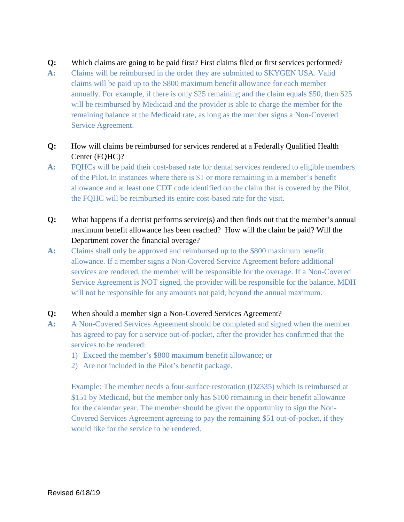### **Q:** Which claims are going to be paid first? First claims filed or first services performed?

**A:** Claims will be reimbursed in the order they are submitted to SKYGEN USA. Valid claims will be paid up to the \$800 maximum benefit allowance for each member annually. For example, if there is only \$25 remaining and the claim equals \$50, then \$25 will be reimbursed by Medicaid and the provider is able to charge the member for the remaining balance at the Medicaid rate, as long as the member signs a Non-Covered Service Agreement.

# **Q:** How will claims be reimbursed for services rendered at a Federally Qualified Health Center (FQHC)?

- **A:** FQHCs will be paid their cost-based rate for dental services rendered to eligible members of the Pilot. In instances where there is \$1 or more remaining in a member's benefit allowance and at least one CDT code identified on the claim that is covered by the Pilot, the FQHC will be reimbursed its entire cost-based rate for the visit.
- **Q:** What happens if a dentist performs service(s) and then finds out that the member's annual maximum benefit allowance has been reached? How will the claim be paid? Will the Department cover the financial overage?
- **A:** Claims shall only be approved and reimbursed up to the \$800 maximum benefit allowance. If a member signs a Non-Covered Service Agreement before additional services are rendered, the member will be responsible for the overage. If a Non-Covered Service Agreement is NOT signed, the provider will be responsible for the balance. MDH will not be responsible for any amounts not paid, beyond the annual maximum.

#### **Q:** When should a member sign a Non-Covered Services Agreement?

- **A:** A Non-Covered Services Agreement should be completed and signed when the member has agreed to pay for a service out-of-pocket, after the provider has confirmed that the services to be rendered:
	- 1) Exceed the member's \$800 maximum benefit allowance; or
	- 2) Are not included in the Pilot's benefit package.

Example: The member needs a four-surface restoration (D2335) which is reimbursed at \$151 by Medicaid, but the member only has \$100 remaining in their benefit allowance for the calendar year. The member should be given the opportunity to sign the Non-Covered Services Agreement agreeing to pay the remaining \$51 out-of-pocket, if they would like for the service to be rendered.